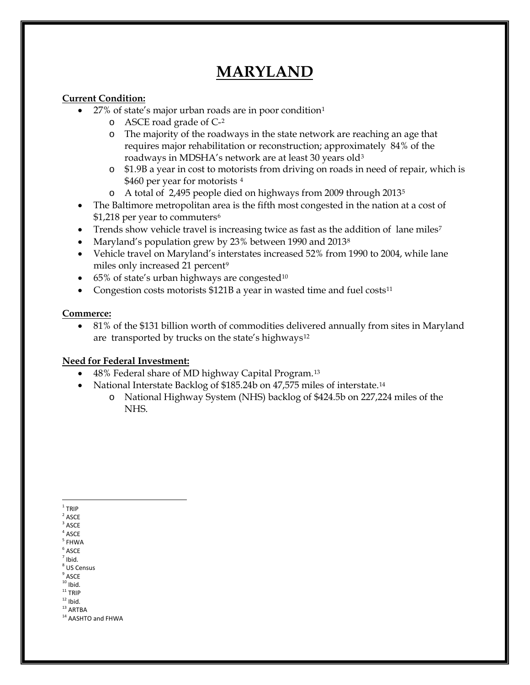# **MARYLAND**

### **Current Condition:**

- 27% of state's major urban roads are in poor condition[1](#page-0-0)
	- o ASCE road grade of C-[2](#page-0-1)
	- o The majority of the roadways in the state network are reaching an age that requires major rehabilitation or reconstruction; approximately 84% of the roadways in MDSHA's network are at least 30 years old[3](#page-0-2)
	- o \$1.9B a year in cost to motorists from driving on roads in need of repair, which is \$[4](#page-0-3)60 per year for motorists 4
	- o A total of 2,495 people died on highways from 2009 through 2013[5](#page-0-4)
- The Baltimore metropolitan area is the fifth most congested in the nation at a cost of \$1,218 per year to commuters<sup>[6](#page-0-5)</sup>
- Trends show vehicle travel is increasing twice as fast as the addition of lane miles<sup>[7](#page-0-6)</sup>
- Maryland's population grew by 23% between 1990 and 2013<sup>[8](#page-0-7)</sup>
- Vehicle travel on Maryland's interstates increased 52% from 1990 to 2004, while lane miles only increased 21 percent<sup>[9](#page-0-8)</sup>
- $\bullet$  65% of state's urban highways are congested<sup>[10](#page-0-9)</sup>
- Congestion costs motorists  $$121B$  a year in wasted time and fuel costs<sup>[11](#page-0-10)</sup>

### **Commerce:**

• 81% of the \$131 billion worth of commodities delivered annually from sites in Maryland are transported by trucks on the state's highways<sup>[12](#page-0-11)</sup>

### **Need for Federal Investment:**

- 48% Federal share of MD highway Capital Program.[13](#page-0-12)
- National Interstate Backlog of \$185.24b on 47,575 miles of interstate.[14](#page-0-13)
	- o National Highway System (NHS) backlog of \$424.5b on 227,224 miles of the NHS.

<span id="page-0-0"></span> $1$  TRIP

<span id="page-0-2"></span><span id="page-0-1"></span> $2$  ASCE

- <span id="page-0-7"></span><span id="page-0-6"></span> $<sup>7</sup>$  Ibid.</sup> <sup>8</sup> US Census
- 
- <span id="page-0-8"></span> $^{9}$  ASCE<br><sup>10</sup> Ibid.
- <span id="page-0-11"></span><span id="page-0-10"></span><span id="page-0-9"></span> $11$  TRIP<br> $12$  Ibid.

<span id="page-0-12"></span> $^{\rm 13}$  ARTBA

**ASCE** 

 $4$  ASCE

<span id="page-0-4"></span><span id="page-0-3"></span><sup>5</sup> FHWA

<span id="page-0-5"></span> $6$  ASCE

<span id="page-0-13"></span><sup>&</sup>lt;sup>14</sup> AASHTO and FHWA